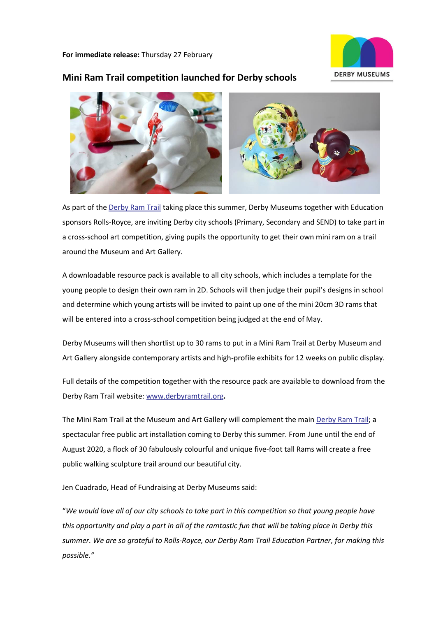**For immediate release:** Thursday 27 February



# **Mini Ram Trail competition launched for Derby schools**



As part of th[e Derby Ram Trail](https://www.derbyramtrail.org/) taking place this summer, Derby Museums together with Education sponsors Rolls-Royce, are inviting Derby city schools (Primary, Secondary and SEND) to take part in a cross-school art competition, giving pupils the opportunity to get their own mini ram on a trail around the Museum and Art Gallery.

A [downloadable resource pack](http://ramtrail.threesixtymedia.net/wp-content/uploads/2020/02/Derby-Ram-Learning-Resource-Pack-V2.17.2.20.pdf) is available to all city schools, which includes a template for the young people to design their own ram in 2D. Schools will then judge their pupil's designs in school and determine which young artists will be invited to paint up one of the mini 20cm 3D rams that will be entered into a cross-school competition being judged at the end of May.

Derby Museums will then shortlist up to 30 rams to put in a Mini Ram Trail at Derby Museum and Art Gallery alongside contemporary artists and high-profile exhibits for 12 weeks on public display.

Full details of the competition together with the resource pack are available to download from the Derby Ram Trail website: [www.derbyramtrail.org](http://www.derbyramtrail.org/)**.**

The Mini Ram Trail at the Museum and Art Gallery will complement the main [Derby Ram Trail;](https://www.derbyramtrail.org/) a spectacular free public art installation coming to Derby this summer. From June until the end of August 2020, a flock of 30 fabulously colourful and unique five-foot tall Rams will create a free public walking sculpture trail around our beautiful city.

Jen Cuadrado, Head of Fundraising at Derby Museums said:

"*We would love all of our city schools to take part in this competition so that young people have this opportunity and play a part in all of the ramtastic fun that will be taking place in Derby this summer. We are so grateful to Rolls-Royce, our Derby Ram Trail Education Partner, for making this possible."*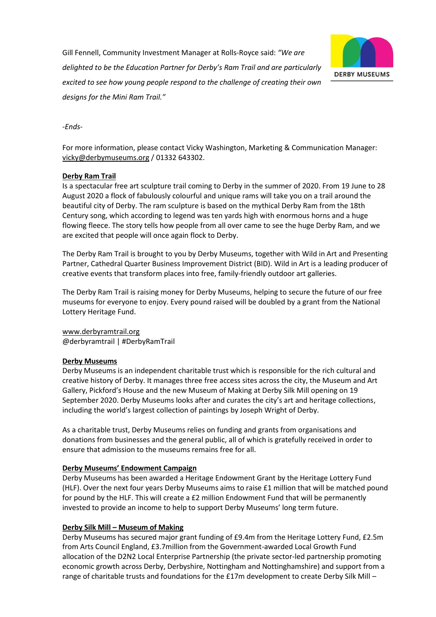Gill Fennell, Community Investment Manager at Rolls-Royce said: *"We are delighted to be the Education Partner for Derby's Ram Trail and are particularly excited to see how young people respond to the challenge of creating their own designs for the Mini Ram Trail."*



*-Ends-*

For more information, please contact Vicky Washington, Marketing & Communication Manager: [vicky@derbymuseums.org](mailto:vicky@derbymuseums.org) / 01332 643302.

### **[Derby Ram Trail](https://www.derbyramtrail.org/)**

Is a spectacular free art sculpture trail coming to Derby in the summer of 2020. From 19 June to 28 August 2020 a flock of fabulously colourful and unique rams will take you on a trail around the beautiful city of Derby. The ram sculpture is based on the mythical Derby Ram from the 18th Century song, which according to legend was ten yards high with enormous horns and a huge flowing fleece. The story tells how people from all over came to see the huge Derby Ram, and we are excited that people will once again flock to Derby.

The Derby Ram Trail is brought to you by Derby Museums, together with Wild in Art and Presenting Partner, Cathedral Quarter Business Improvement District (BID). Wild in Art is a leading producer of creative events that transform places into free, family-friendly outdoor art galleries.

The Derby Ram Trail is raising money for Derby Museums, helping to secure the future of our free museums for everyone to enjoy. Every pound raised will be doubled by a grant from the National Lottery Heritage Fund.

# [www.derbyramtrail.org](http://www.derbyramtrail.org/)

@derbyramtrail | #DerbyRamTrail

### **[Derby Museums](https://www.derbymuseums.org/)**

Derby Museums is an independent charitable trust which is responsible for the rich cultural and creative history of Derby. It manages three free access sites across the city, the Museum and Art Gallery, Pickford's House and the new Museum of Making at Derby Silk Mill opening on 19 September 2020. Derby Museums looks after and curates the city's art and heritage collections, including the world's largest collection of paintings by Joseph Wright of Derby.

As a charitable trust, Derby Museums relies on funding and grants from organisations and donations from businesses and the general public, all of which is gratefully received in order to ensure that admission to the museums remains free for all.

### **[Derby Museums' Endowment Campaign](https://www.derbymuseums.org/support/heritage-endowments-fund)**

Derby Museums has been awarded a Heritage Endowment Grant by the Heritage Lottery Fund (HLF). Over the next four years Derby Museums aims to raise £1 million that will be matched pound for pound by the HLF. This will create a £2 million Endowment Fund that will be permanently invested to provide an income to help to support Derby Museums' long term future.

### **Derby Silk Mill – [Museum of Making](http://derbysilkmill.tumblr.com/)**

Derby Museums has secured major grant funding of £9.4m from the Heritage Lottery Fund, £2.5m from Arts Council England, £3.7million from the Government-awarded Local Growth Fund allocation of the D2N2 Local Enterprise Partnership (the private sector-led partnership promoting economic growth across Derby, Derbyshire, Nottingham and Nottinghamshire) and support from a range of charitable trusts and foundations for the £17m development to create Derby Silk Mill –